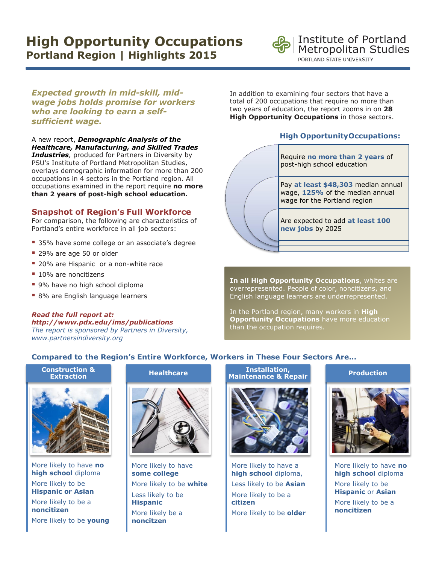# **High Opportunity Occupations Portland Region | Highlights 2015**



*Expected growth in mid-skill, midwage jobs holds promise for workers who are looking to earn a selfsufficient wage.* 

A new report, *Demographic Analysis of the Healthcare, Manufacturing, and Skilled Trades Industries,* produced for Partners in Diversity by PSU's Institute of Portland Metropolitan Studies, overlays demographic information for more than 200 occupations in 4 sectors in the Portland region. All occupations examined in the report require **no more than 2 years of post-high school education.** 

# **Snapshot of Region's Full Workforce**

For comparison, the following are characteristics of Portland's entire workforce in all job sectors:

- 35% have some college or an associate's degree
- 29% are age 50 or older

*Read the full report at:*

- 20% are Hispanic or a non-white race
- 10% are noncitizens
- 9% have no high school diploma
- **8%** are English language learners

*http://www.pdx.edu/ims/publications The report is sponsored by Partners in Diversity, www.partnersindiversity.org*

In addition to examining four sectors that have a total of 200 occupations that require no more than two years of education, the report zooms in on **28 High Opportunity Occupations** in those sectors.

# **High OpportunityOccupations:**



**In all High Opportunity Occupations**, whites are overrepresented. People of color, noncitizens, and English language learners are underrepresented.

In the Portland region, many workers in **High Opportunity Occupations** have more education than the occupation requires.

# **Compared to the Region's Entire Workforce, Workers in These Four Sectors Are…**

**Construction & Extraction**



More likely to have **no high school** diploma More likely to be **Hispanic or Asian** More likely to be a **noncitizen** More likely to be **young**

## **Healthcare**



More likely to have **some college** More likely to be **white** Less likely to be **Hispanic** More likely be a **noncitzen**

# **Installation, Maintenance & Repair**



More likely to have a **high school** diploma, Less likely to be **Asian** More likely to be a **citizen** More likely to be **older**

#### **Production**



More likely to have **no high school** diploma More likely to be **Hispanic** or **Asian** More likely to be a **noncitizen**